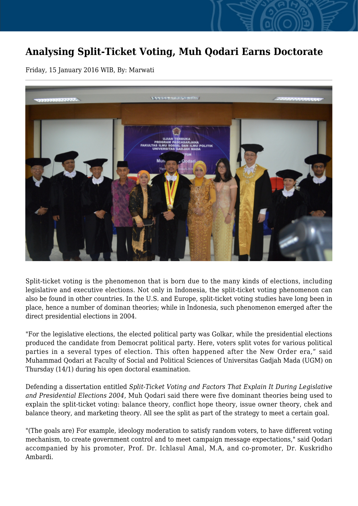## **Analysing Split-Ticket Voting, Muh Qodari Earns Doctorate**

Friday, 15 January 2016 WIB, By: Marwati



Split-ticket voting is the phenomenon that is born due to the many kinds of elections, including legislative and executive elections. Not only in Indonesia, the split-ticket voting phenomenon can also be found in other countries. In the U.S. and Europe, split-ticket voting studies have long been in place, hence a number of dominan theories; while in Indonesia, such phenomenon emerged after the direct presidential elections in 2004.

"For the legislative elections, the elected political party was Golkar, while the presidential elections produced the candidate from Democrat political party. Here, voters split votes for various political parties in a several types of election. This often happened after the New Order era," said Muhammad Qodari at Faculty of Social and Political Sciences of Universitas Gadjah Mada (UGM) on Thursday (14/1) during his open doctoral examination.

Defending a dissertation entitled *Split-Ticket Voting and Factors That Explain It During Legislative and Presidential Elections 2004*, Muh Qodari said there were five dominant theories being used to explain the split-ticket voting: balance theory, conflict hope theory, issue owner theory, chek and balance theory, and marketing theory. All see the split as part of the strategy to meet a certain goal.

"(The goals are) For example, ideology moderation to satisfy random voters, to have different voting mechanism, to create government control and to meet campaign message expectations," said Qodari accompanied by his promoter, Prof. Dr. Ichlasul Amal, M.A, and co-promoter, Dr. Kuskridho Ambardi.